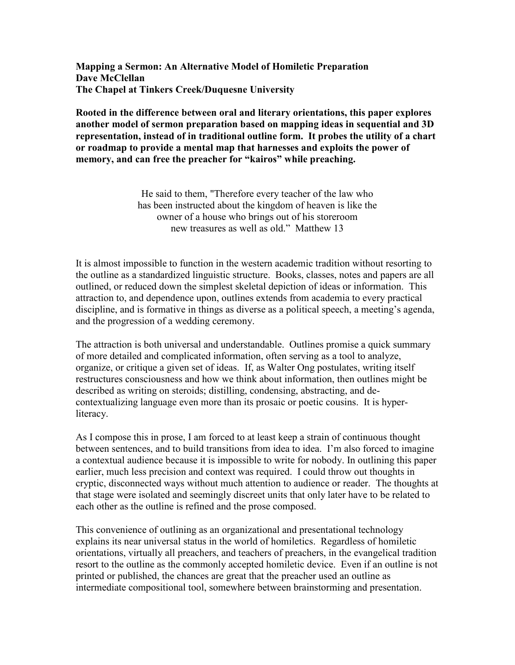Mapping a Sermon: An Alternative Model of Homiletic Preparation Dave McClellan The Chapel at Tinkers Creek/Duquesne University

Rooted in the difference between oral and literary orientations, this paper explores another model of sermon preparation based on mapping ideas in sequential and 3D representation, instead of in traditional outline form. It probes the utility of a chart or roadmap to provide a mental map that harnesses and exploits the power of memory, and can free the preacher for "kairos" while preaching.

> He said to them, "Therefore every teacher of the law who has been instructed about the kingdom of heaven is like the owner of a house who brings out of his storeroom new treasures as well as old." Matthew 13

It is almost impossible to function in the western academic tradition without resorting to the outline as a standardized linguistic structure. Books, classes, notes and papers are all outlined, or reduced down the simplest skeletal depiction of ideas or information. This attraction to, and dependence upon, outlines extends from academia to every practical discipline, and is formative in things as diverse as a political speech, a meeting's agenda, and the progression of a wedding ceremony.

The attraction is both universal and understandable. Outlines promise a quick summary of more detailed and complicated information, often serving as a tool to analyze, organize, or critique a given set of ideas. If, as Walter Ong postulates, writing itself restructures consciousness and how we think about information, then outlines might be described as writing on steroids; distilling, condensing, abstracting, and decontextualizing language even more than its prosaic or poetic cousins. It is hyperliteracy.

As I compose this in prose, I am forced to at least keep a strain of continuous thought between sentences, and to build transitions from idea to idea. I'm also forced to imagine a contextual audience because it is impossible to write for nobody. In outlining this paper earlier, much less precision and context was required. I could throw out thoughts in cryptic, disconnected ways without much attention to audience or reader. The thoughts at that stage were isolated and seemingly discreet units that only later have to be related to each other as the outline is refined and the prose composed.

This convenience of outlining as an organizational and presentational technology explains its near universal status in the world of homiletics. Regardless of homiletic orientations, virtually all preachers, and teachers of preachers, in the evangelical tradition resort to the outline as the commonly accepted homiletic device. Even if an outline is not printed or published, the chances are great that the preacher used an outline as intermediate compositional tool, somewhere between brainstorming and presentation.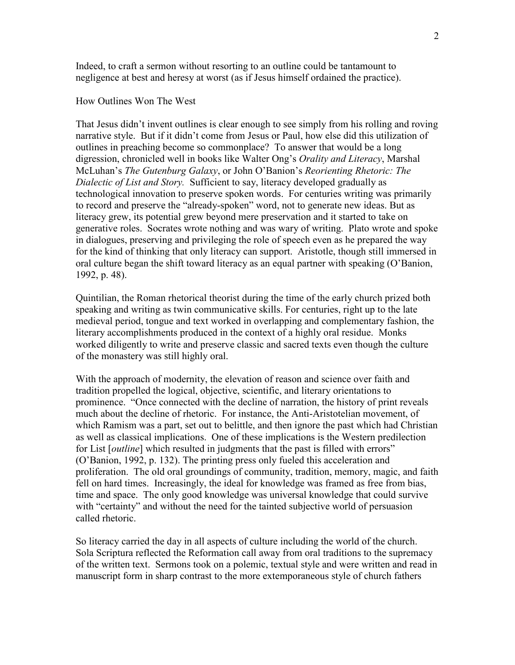Indeed, to craft a sermon without resorting to an outline could be tantamount to negligence at best and heresy at worst (as if Jesus himself ordained the practice).

## How Outlines Won The West

That Jesus didn't invent outlines is clear enough to see simply from his rolling and roving narrative style. But if it didn't come from Jesus or Paul, how else did this utilization of outlines in preaching become so commonplace? To answer that would be a long digression, chronicled well in books like Walter Ong's Orality and Literacy, Marshal McLuhan's The Gutenburg Galaxy, or John O'Banion's Reorienting Rhetoric: The Dialectic of List and Story. Sufficient to say, literacy developed gradually as technological innovation to preserve spoken words. For centuries writing was primarily to record and preserve the "already-spoken" word, not to generate new ideas. But as literacy grew, its potential grew beyond mere preservation and it started to take on generative roles. Socrates wrote nothing and was wary of writing. Plato wrote and spoke in dialogues, preserving and privileging the role of speech even as he prepared the way for the kind of thinking that only literacy can support. Aristotle, though still immersed in oral culture began the shift toward literacy as an equal partner with speaking (O'Banion, 1992, p. 48).

Quintilian, the Roman rhetorical theorist during the time of the early church prized both speaking and writing as twin communicative skills. For centuries, right up to the late medieval period, tongue and text worked in overlapping and complementary fashion, the literary accomplishments produced in the context of a highly oral residue. Monks worked diligently to write and preserve classic and sacred texts even though the culture of the monastery was still highly oral.

With the approach of modernity, the elevation of reason and science over faith and tradition propelled the logical, objective, scientific, and literary orientations to prominence. "Once connected with the decline of narration, the history of print reveals much about the decline of rhetoric. For instance, the Anti-Aristotelian movement, of which Ramism was a part, set out to belittle, and then ignore the past which had Christian as well as classical implications. One of these implications is the Western predilection for List [*outline*] which resulted in judgments that the past is filled with errors" (O'Banion, 1992, p. 132). The printing press only fueled this acceleration and proliferation. The old oral groundings of community, tradition, memory, magic, and faith fell on hard times. Increasingly, the ideal for knowledge was framed as free from bias, time and space. The only good knowledge was universal knowledge that could survive with "certainty" and without the need for the tainted subjective world of persuasion called rhetoric.

So literacy carried the day in all aspects of culture including the world of the church. Sola Scriptura reflected the Reformation call away from oral traditions to the supremacy of the written text. Sermons took on a polemic, textual style and were written and read in manuscript form in sharp contrast to the more extemporaneous style of church fathers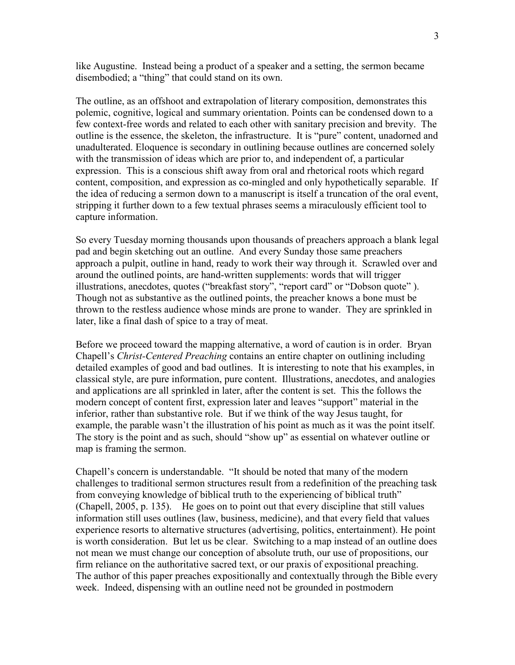like Augustine. Instead being a product of a speaker and a setting, the sermon became disembodied; a "thing" that could stand on its own.

The outline, as an offshoot and extrapolation of literary composition, demonstrates this polemic, cognitive, logical and summary orientation. Points can be condensed down to a few context-free words and related to each other with sanitary precision and brevity. The outline is the essence, the skeleton, the infrastructure. It is "pure" content, unadorned and unadulterated. Eloquence is secondary in outlining because outlines are concerned solely with the transmission of ideas which are prior to, and independent of, a particular expression. This is a conscious shift away from oral and rhetorical roots which regard content, composition, and expression as co-mingled and only hypothetically separable. If the idea of reducing a sermon down to a manuscript is itself a truncation of the oral event, stripping it further down to a few textual phrases seems a miraculously efficient tool to capture information.

So every Tuesday morning thousands upon thousands of preachers approach a blank legal pad and begin sketching out an outline. And every Sunday those same preachers approach a pulpit, outline in hand, ready to work their way through it. Scrawled over and around the outlined points, are hand-written supplements: words that will trigger illustrations, anecdotes, quotes ("breakfast story", "report card" or "Dobson quote" ). Though not as substantive as the outlined points, the preacher knows a bone must be thrown to the restless audience whose minds are prone to wander. They are sprinkled in later, like a final dash of spice to a tray of meat.

Before we proceed toward the mapping alternative, a word of caution is in order. Bryan Chapell's Christ-Centered Preaching contains an entire chapter on outlining including detailed examples of good and bad outlines. It is interesting to note that his examples, in classical style, are pure information, pure content. Illustrations, anecdotes, and analogies and applications are all sprinkled in later, after the content is set. This the follows the modern concept of content first, expression later and leaves "support" material in the inferior, rather than substantive role. But if we think of the way Jesus taught, for example, the parable wasn't the illustration of his point as much as it was the point itself. The story is the point and as such, should "show up" as essential on whatever outline or map is framing the sermon.

Chapell's concern is understandable. "It should be noted that many of the modern challenges to traditional sermon structures result from a redefinition of the preaching task from conveying knowledge of biblical truth to the experiencing of biblical truth" (Chapell, 2005, p. 135). He goes on to point out that every discipline that still values information still uses outlines (law, business, medicine), and that every field that values experience resorts to alternative structures (advertising, politics, entertainment). He point is worth consideration. But let us be clear. Switching to a map instead of an outline does not mean we must change our conception of absolute truth, our use of propositions, our firm reliance on the authoritative sacred text, or our praxis of expositional preaching. The author of this paper preaches expositionally and contextually through the Bible every week. Indeed, dispensing with an outline need not be grounded in postmodern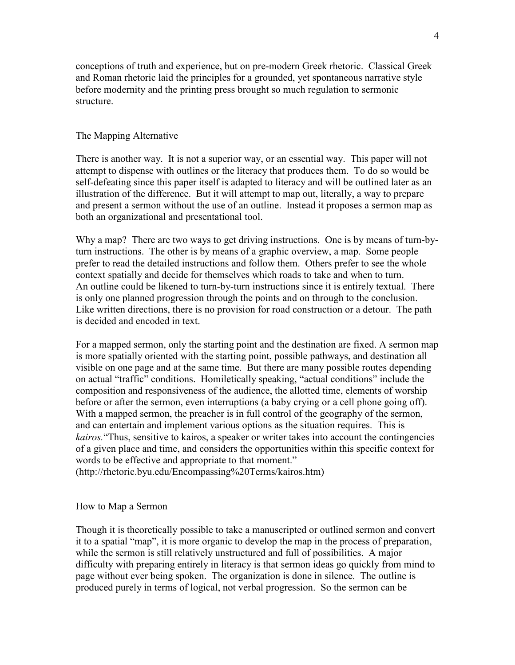conceptions of truth and experience, but on pre-modern Greek rhetoric. Classical Greek and Roman rhetoric laid the principles for a grounded, yet spontaneous narrative style before modernity and the printing press brought so much regulation to sermonic structure.

# The Mapping Alternative

There is another way. It is not a superior way, or an essential way. This paper will not attempt to dispense with outlines or the literacy that produces them. To do so would be self-defeating since this paper itself is adapted to literacy and will be outlined later as an illustration of the difference. But it will attempt to map out, literally, a way to prepare and present a sermon without the use of an outline. Instead it proposes a sermon map as both an organizational and presentational tool.

Why a map? There are two ways to get driving instructions. One is by means of turn-byturn instructions. The other is by means of a graphic overview, a map. Some people prefer to read the detailed instructions and follow them. Others prefer to see the whole context spatially and decide for themselves which roads to take and when to turn. An outline could be likened to turn-by-turn instructions since it is entirely textual. There is only one planned progression through the points and on through to the conclusion. Like written directions, there is no provision for road construction or a detour. The path is decided and encoded in text.

For a mapped sermon, only the starting point and the destination are fixed. A sermon map is more spatially oriented with the starting point, possible pathways, and destination all visible on one page and at the same time. But there are many possible routes depending on actual "traffic" conditions. Homiletically speaking, "actual conditions" include the composition and responsiveness of the audience, the allotted time, elements of worship before or after the sermon, even interruptions (a baby crying or a cell phone going off). With a mapped sermon, the preacher is in full control of the geography of the sermon, and can entertain and implement various options as the situation requires. This is kairos."Thus, sensitive to kairos, a speaker or writer takes into account the contingencies of a given place and time, and considers the opportunities within this specific context for words to be effective and appropriate to that moment."

(http://rhetoric.byu.edu/Encompassing%20Terms/kairos.htm)

#### How to Map a Sermon

Though it is theoretically possible to take a manuscripted or outlined sermon and convert it to a spatial "map", it is more organic to develop the map in the process of preparation, while the sermon is still relatively unstructured and full of possibilities. A major difficulty with preparing entirely in literacy is that sermon ideas go quickly from mind to page without ever being spoken. The organization is done in silence. The outline is produced purely in terms of logical, not verbal progression. So the sermon can be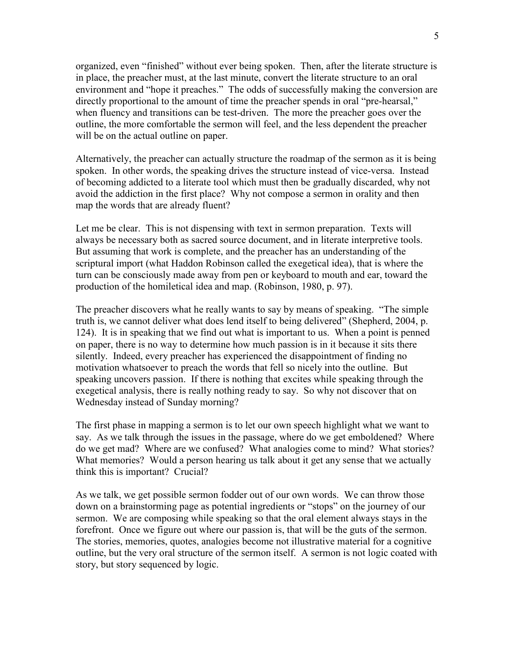organized, even "finished" without ever being spoken. Then, after the literate structure is in place, the preacher must, at the last minute, convert the literate structure to an oral environment and "hope it preaches." The odds of successfully making the conversion are directly proportional to the amount of time the preacher spends in oral "pre-hearsal," when fluency and transitions can be test-driven. The more the preacher goes over the outline, the more comfortable the sermon will feel, and the less dependent the preacher will be on the actual outline on paper.

Alternatively, the preacher can actually structure the roadmap of the sermon as it is being spoken. In other words, the speaking drives the structure instead of vice-versa. Instead of becoming addicted to a literate tool which must then be gradually discarded, why not avoid the addiction in the first place? Why not compose a sermon in orality and then map the words that are already fluent?

Let me be clear. This is not dispensing with text in sermon preparation. Texts will always be necessary both as sacred source document, and in literate interpretive tools. But assuming that work is complete, and the preacher has an understanding of the scriptural import (what Haddon Robinson called the exegetical idea), that is where the turn can be consciously made away from pen or keyboard to mouth and ear, toward the production of the homiletical idea and map. (Robinson, 1980, p. 97).

The preacher discovers what he really wants to say by means of speaking. "The simple truth is, we cannot deliver what does lend itself to being delivered" (Shepherd, 2004, p. 124). It is in speaking that we find out what is important to us. When a point is penned on paper, there is no way to determine how much passion is in it because it sits there silently. Indeed, every preacher has experienced the disappointment of finding no motivation whatsoever to preach the words that fell so nicely into the outline. But speaking uncovers passion. If there is nothing that excites while speaking through the exegetical analysis, there is really nothing ready to say. So why not discover that on Wednesday instead of Sunday morning?

The first phase in mapping a sermon is to let our own speech highlight what we want to say. As we talk through the issues in the passage, where do we get emboldened? Where do we get mad? Where are we confused? What analogies come to mind? What stories? What memories? Would a person hearing us talk about it get any sense that we actually think this is important? Crucial?

As we talk, we get possible sermon fodder out of our own words. We can throw those down on a brainstorming page as potential ingredients or "stops" on the journey of our sermon. We are composing while speaking so that the oral element always stays in the forefront. Once we figure out where our passion is, that will be the guts of the sermon. The stories, memories, quotes, analogies become not illustrative material for a cognitive outline, but the very oral structure of the sermon itself. A sermon is not logic coated with story, but story sequenced by logic.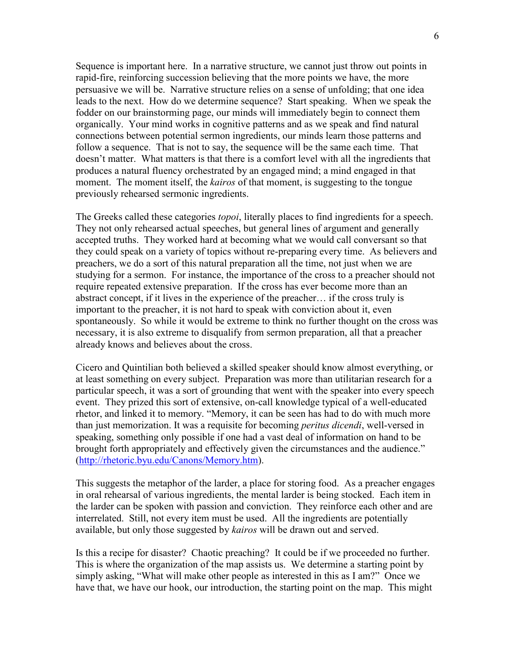Sequence is important here. In a narrative structure, we cannot just throw out points in rapid-fire, reinforcing succession believing that the more points we have, the more persuasive we will be. Narrative structure relies on a sense of unfolding; that one idea leads to the next. How do we determine sequence? Start speaking. When we speak the fodder on our brainstorming page, our minds will immediately begin to connect them organically. Your mind works in cognitive patterns and as we speak and find natural connections between potential sermon ingredients, our minds learn those patterns and follow a sequence. That is not to say, the sequence will be the same each time. That doesn't matter. What matters is that there is a comfort level with all the ingredients that produces a natural fluency orchestrated by an engaged mind; a mind engaged in that moment. The moment itself, the *kairos* of that moment, is suggesting to the tongue previously rehearsed sermonic ingredients.

The Greeks called these categories *topoi*, literally places to find ingredients for a speech. They not only rehearsed actual speeches, but general lines of argument and generally accepted truths. They worked hard at becoming what we would call conversant so that they could speak on a variety of topics without re-preparing every time. As believers and preachers, we do a sort of this natural preparation all the time, not just when we are studying for a sermon. For instance, the importance of the cross to a preacher should not require repeated extensive preparation. If the cross has ever become more than an abstract concept, if it lives in the experience of the preacher… if the cross truly is important to the preacher, it is not hard to speak with conviction about it, even spontaneously. So while it would be extreme to think no further thought on the cross was necessary, it is also extreme to disqualify from sermon preparation, all that a preacher already knows and believes about the cross.

Cicero and Quintilian both believed a skilled speaker should know almost everything, or at least something on every subject. Preparation was more than utilitarian research for a particular speech, it was a sort of grounding that went with the speaker into every speech event. They prized this sort of extensive, on-call knowledge typical of a well-educated rhetor, and linked it to memory. "Memory, it can be seen has had to do with much more than just memorization. It was a requisite for becoming peritus dicendi, well-versed in speaking, something only possible if one had a vast deal of information on hand to be brought forth appropriately and effectively given the circumstances and the audience." (http://rhetoric.byu.edu/Canons/Memory.htm).

This suggests the metaphor of the larder, a place for storing food. As a preacher engages in oral rehearsal of various ingredients, the mental larder is being stocked. Each item in the larder can be spoken with passion and conviction. They reinforce each other and are interrelated. Still, not every item must be used. All the ingredients are potentially available, but only those suggested by kairos will be drawn out and served.

Is this a recipe for disaster? Chaotic preaching? It could be if we proceeded no further. This is where the organization of the map assists us. We determine a starting point by simply asking, "What will make other people as interested in this as I am?" Once we have that, we have our hook, our introduction, the starting point on the map. This might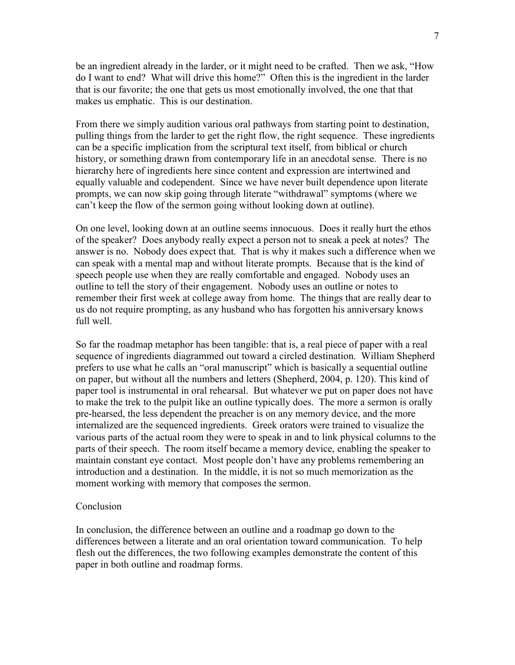be an ingredient already in the larder, or it might need to be crafted. Then we ask, "How do I want to end? What will drive this home?" Often this is the ingredient in the larder that is our favorite; the one that gets us most emotionally involved, the one that that makes us emphatic. This is our destination.

From there we simply audition various oral pathways from starting point to destination, pulling things from the larder to get the right flow, the right sequence. These ingredients can be a specific implication from the scriptural text itself, from biblical or church history, or something drawn from contemporary life in an anecdotal sense. There is no hierarchy here of ingredients here since content and expression are intertwined and equally valuable and codependent. Since we have never built dependence upon literate prompts, we can now skip going through literate "withdrawal" symptoms (where we can't keep the flow of the sermon going without looking down at outline).

On one level, looking down at an outline seems innocuous. Does it really hurt the ethos of the speaker? Does anybody really expect a person not to sneak a peek at notes? The answer is no. Nobody does expect that. That is why it makes such a difference when we can speak with a mental map and without literate prompts. Because that is the kind of speech people use when they are really comfortable and engaged. Nobody uses an outline to tell the story of their engagement. Nobody uses an outline or notes to remember their first week at college away from home. The things that are really dear to us do not require prompting, as any husband who has forgotten his anniversary knows full well.

So far the roadmap metaphor has been tangible: that is, a real piece of paper with a real sequence of ingredients diagrammed out toward a circled destination. William Shepherd prefers to use what he calls an "oral manuscript" which is basically a sequential outline on paper, but without all the numbers and letters (Shepherd, 2004, p. 120). This kind of paper tool is instrumental in oral rehearsal. But whatever we put on paper does not have to make the trek to the pulpit like an outline typically does. The more a sermon is orally pre-hearsed, the less dependent the preacher is on any memory device, and the more internalized are the sequenced ingredients. Greek orators were trained to visualize the various parts of the actual room they were to speak in and to link physical columns to the parts of their speech. The room itself became a memory device, enabling the speaker to maintain constant eye contact. Most people don't have any problems remembering an introduction and a destination. In the middle, it is not so much memorization as the moment working with memory that composes the sermon.

## Conclusion

In conclusion, the difference between an outline and a roadmap go down to the differences between a literate and an oral orientation toward communication. To help flesh out the differences, the two following examples demonstrate the content of this paper in both outline and roadmap forms.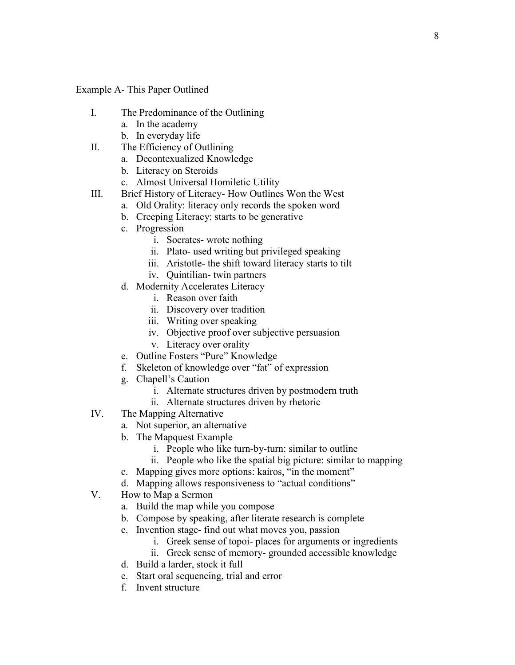Example A- This Paper Outlined

- I. The Predominance of the Outlining
	- a. In the academy
	- b. In everyday life
- II. The Efficiency of Outlining
	- a. Decontexualized Knowledge
	- b. Literacy on Steroids
	- c. Almost Universal Homiletic Utility
- III. Brief History of Literacy- How Outlines Won the West
	- a. Old Orality: literacy only records the spoken word
	- b. Creeping Literacy: starts to be generative
	- c. Progression
		- i. Socrates- wrote nothing
		- ii. Plato- used writing but privileged speaking
		- iii. Aristotle- the shift toward literacy starts to tilt
		- iv. Quintilian- twin partners
	- d. Modernity Accelerates Literacy
		- i. Reason over faith
		- ii. Discovery over tradition
		- iii. Writing over speaking
		- iv. Objective proof over subjective persuasion
		- v. Literacy over orality
	- e. Outline Fosters "Pure" Knowledge
	- f. Skeleton of knowledge over "fat" of expression
	- g. Chapell's Caution
		- i. Alternate structures driven by postmodern truth
		- ii. Alternate structures driven by rhetoric
- IV. The Mapping Alternative
	- a. Not superior, an alternative
	- b. The Mapquest Example
		- i. People who like turn-by-turn: similar to outline
		- ii. People who like the spatial big picture: similar to mapping
	- c. Mapping gives more options: kairos, "in the moment"
	- d. Mapping allows responsiveness to "actual conditions"
- V. How to Map a Sermon
	- a. Build the map while you compose
	- b. Compose by speaking, after literate research is complete
	- c. Invention stage- find out what moves you, passion
		- i. Greek sense of topoi- places for arguments or ingredients
		- ii. Greek sense of memory- grounded accessible knowledge
	- d. Build a larder, stock it full
	- e. Start oral sequencing, trial and error
	- f. Invent structure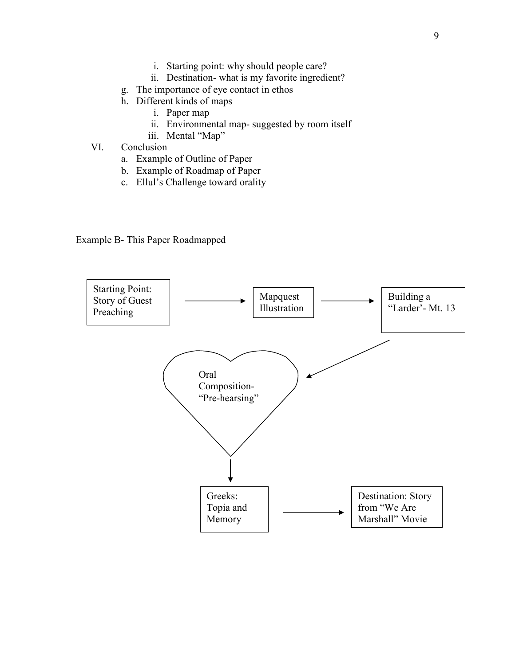- i. Starting point: why should people care?
- ii. Destination- what is my favorite ingredient?
- g. The importance of eye contact in ethos
- h. Different kinds of maps
	- i. Paper map
	- ii. Environmental map- suggested by room itself
	- iii. Mental "Map"
- VI. Conclusion
	- a. Example of Outline of Paper
	- b. Example of Roadmap of Paper
	- c. Ellul's Challenge toward orality

Example B- This Paper Roadmapped

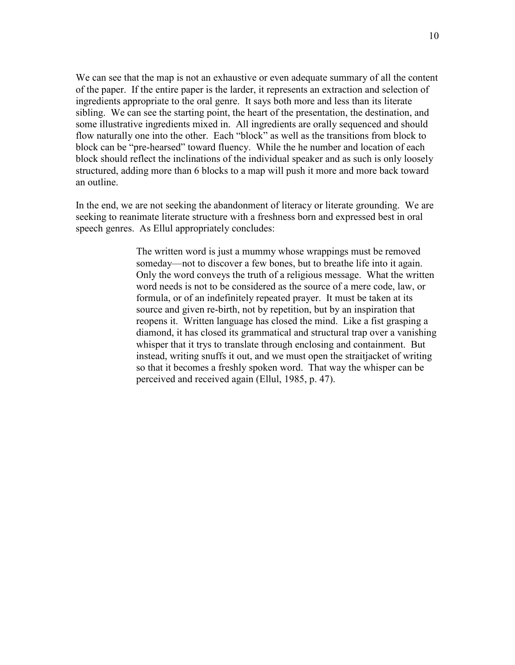We can see that the map is not an exhaustive or even adequate summary of all the content of the paper. If the entire paper is the larder, it represents an extraction and selection of ingredients appropriate to the oral genre. It says both more and less than its literate sibling. We can see the starting point, the heart of the presentation, the destination, and some illustrative ingredients mixed in. All ingredients are orally sequenced and should flow naturally one into the other. Each "block" as well as the transitions from block to block can be "pre-hearsed" toward fluency. While the he number and location of each block should reflect the inclinations of the individual speaker and as such is only loosely structured, adding more than 6 blocks to a map will push it more and more back toward an outline.

In the end, we are not seeking the abandonment of literacy or literate grounding. We are seeking to reanimate literate structure with a freshness born and expressed best in oral speech genres. As Ellul appropriately concludes:

> The written word is just a mummy whose wrappings must be removed someday—not to discover a few bones, but to breathe life into it again. Only the word conveys the truth of a religious message. What the written word needs is not to be considered as the source of a mere code, law, or formula, or of an indefinitely repeated prayer. It must be taken at its source and given re-birth, not by repetition, but by an inspiration that reopens it. Written language has closed the mind. Like a fist grasping a diamond, it has closed its grammatical and structural trap over a vanishing whisper that it trys to translate through enclosing and containment. But instead, writing snuffs it out, and we must open the straitjacket of writing so that it becomes a freshly spoken word. That way the whisper can be perceived and received again (Ellul, 1985, p. 47).